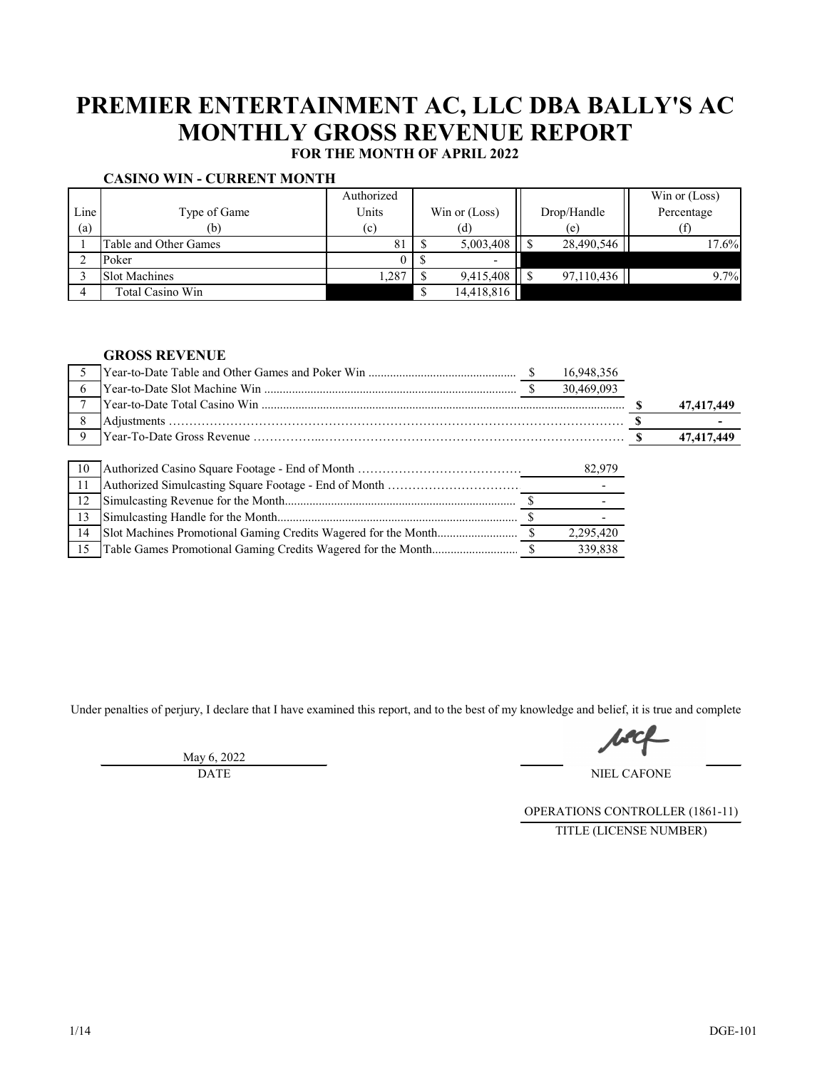# **PREMIER ENTERTAINMENT AC, LLC DBA BALLY'S AC MONTHLY GROSS REVENUE REPORT**

**FOR THE MONTH OF APRIL 2022**

|      |                       | Authorized |                          |             | Win or $(Loss)$ |
|------|-----------------------|------------|--------------------------|-------------|-----------------|
| Line | Type of Game          | Units      | Win or $(Loss)$          | Drop/Handle | Percentage      |
| (a)  | (b)                   | (c)        | (d)                      | (e)         |                 |
|      | Table and Other Games | 81         | 5,003,408                | 28,490,546  | 17.6%           |
|      | Poker                 |            | $\overline{\phantom{a}}$ |             |                 |
|      | <b>Slot Machines</b>  | .,287      | 9,415,408                | 97,110,436  | 9.7%            |
|      | Total Casino Win      |            | 14,418,816               |             |                 |

## **GROSS REVENUE**

|               |  | 16,948,356 |            |
|---------------|--|------------|------------|
| 6             |  | 30,469,093 |            |
|               |  |            | 47,417,449 |
| 8             |  |            |            |
| 9             |  |            | 47,417,449 |
|               |  |            |            |
| 10            |  | 82,979     |            |
| <sup>11</sup> |  |            |            |
| 12            |  |            |            |
| 13            |  |            |            |
|               |  |            |            |
| 14            |  | 2,295,420  |            |

Under penalties of perjury, I declare that I have examined this report, and to the best of my knowledge and belief, it is true and complete

May 6, 2022 DATE

NIEL CAFONE

OPERATIONS CONTROLLER (1861-11) TITLE (LICENSE NUMBER)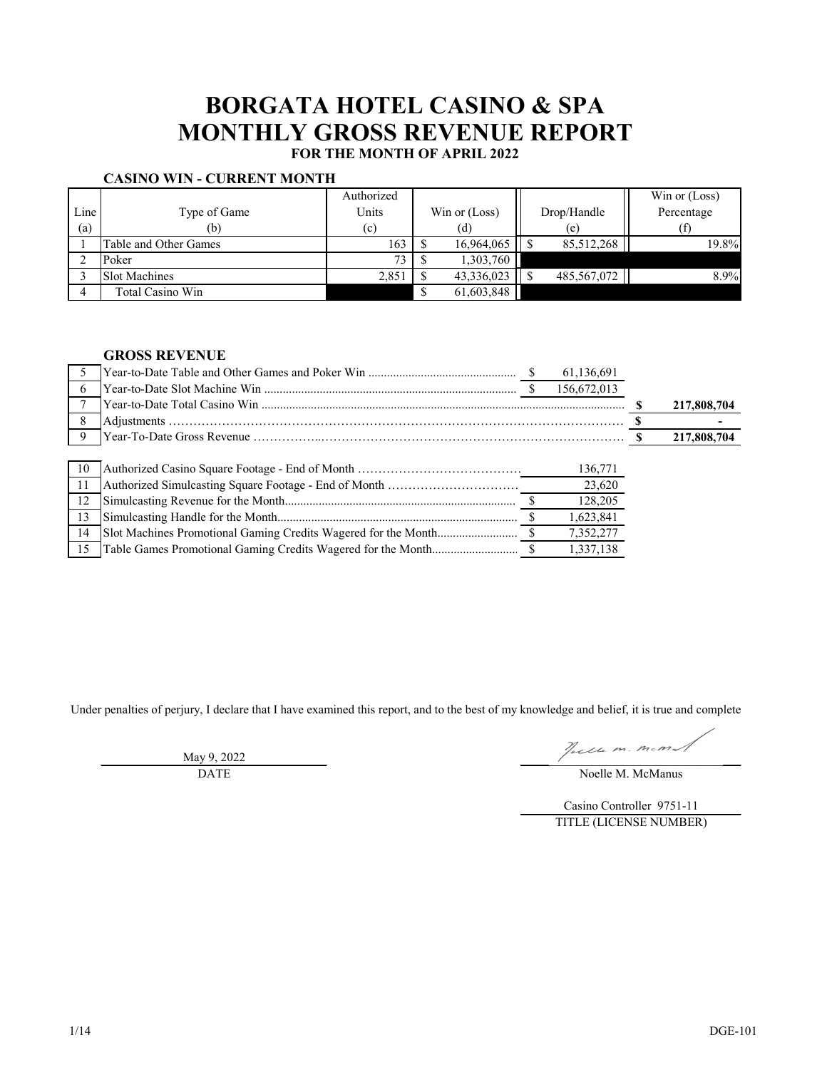# **BORGATA HOTEL CASINO & SPA MONTHLY GROSS REVENUE REPORT FOR THE MONTH OF APRIL 2022**

# **CASINO WIN - CURRENT MONTH**

|      |                       | Authorized |                 |             | Win or (Loss) |
|------|-----------------------|------------|-----------------|-------------|---------------|
| Line | Type of Game          | Units      | Win or $(Loss)$ | Drop/Handle | Percentage    |
| (a)  | (b)                   | (c)        | (d)             | (e)         |               |
|      | Table and Other Games | 163        | 16,964,065      | 85,512,268  | 19.8%         |
|      | Poker                 | 73         | 1,303,760       |             |               |
|      | <b>Slot Machines</b>  | 2,851      | 43,336,023      | 485,567,072 | 8.9%          |
|      | Total Casino Win      |            | 61,603,848      |             |               |

### **GROSS REVENUE**

|               |  | 61,136,691  |             |
|---------------|--|-------------|-------------|
| 6             |  | 156,672,013 |             |
|               |  |             | 217,808,704 |
| 8             |  |             |             |
| 9             |  |             | 217,808,704 |
|               |  |             |             |
| 10            |  | 136,771     |             |
| <sup>11</sup> |  | 23,620      |             |
| 12            |  | 128,205     |             |
| 13            |  | 1,623,841   |             |
| 14            |  | 7,352,277   |             |
| 15            |  | 1,337,138   |             |

Under penalties of perjury, I declare that I have examined this report, and to the best of my knowledge and belief, it is true and complete

Jacine m. mem

May 9, 2022

DATE Noelle M. McManus

Casino Controller 9751-11 TITLE (LICENSE NUMBER)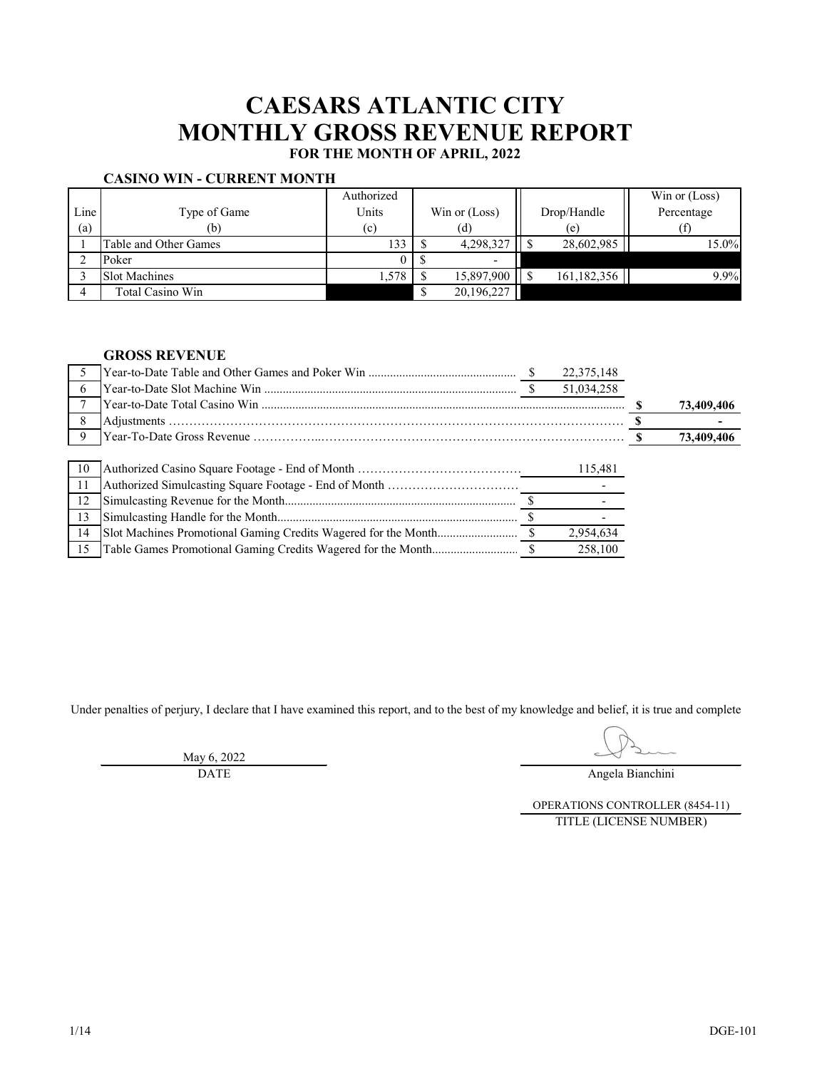# **CAESARS ATLANTIC CITY MONTHLY GROSS REVENUE REPORT**

# **FOR THE MONTH OF APRIL, 2022**

## **CASINO WIN - CURRENT MONTH**

|      |                       | Authorized |               |             | Win or (Loss) |
|------|-----------------------|------------|---------------|-------------|---------------|
| Line | Type of Game          | Units      | Win or (Loss) | Drop/Handle | Percentage    |
| (a)  | (b)                   | (c)        | (d)           | (e)         |               |
|      | Table and Other Games | 133        | 4,298,327     | 28,602,985  | 15.0%         |
|      | Poker                 |            | $\sim$        |             |               |
|      | <b>Slot Machines</b>  | .,578      | 15,897,900    | 161,182,356 | 9.9%          |
|      | Total Casino Win      |            | 20,196,227    |             |               |

## **GROSS REVENUE**

|               |  | 22,375,148 |            |
|---------------|--|------------|------------|
| 6             |  | 51,034,258 |            |
|               |  |            | 73,409,406 |
| 8             |  |            |            |
| 9             |  |            | 73,409,406 |
|               |  |            |            |
| 10            |  | 115,481    |            |
| <sup>11</sup> |  |            |            |
| 12            |  |            |            |
| 13            |  |            |            |
| 14            |  | 2,954,634  |            |
| 15            |  | 258,100    |            |

Under penalties of perjury, I declare that I have examined this report, and to the best of my knowledge and belief, it is true and complete

May 6, 2022

DATE Angela Bianchini

OPERATIONS CONTROLLER (8454-11) TITLE (LICENSE NUMBER)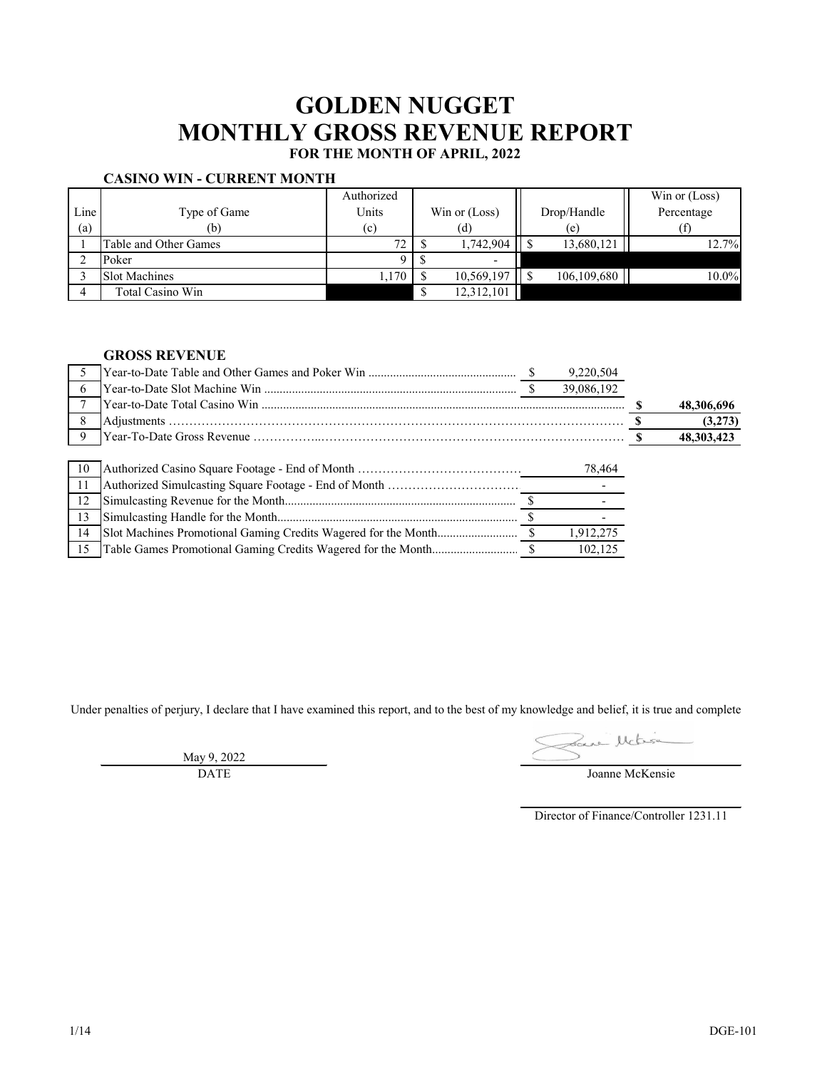# **GOLDEN NUGGET MONTHLY GROSS REVENUE REPORT**

# **FOR THE MONTH OF APRIL, 2022**

## **CASINO WIN - CURRENT MONTH**

|      |                       | Authorized |               |             | Win or $(Loss)$ |
|------|-----------------------|------------|---------------|-------------|-----------------|
| Line | Type of Game          | Units      | Win or (Loss) | Drop/Handle | Percentage      |
| (a)  | (b)                   | (c)        | (d)           | (e)         |                 |
|      | Table and Other Games | 72         | 1,742,904     | 13,680,121  | 12.7%           |
|      | Poker                 |            | $\sim$        |             |                 |
|      | <b>Slot Machines</b>  | 1,170      | 10,569,197    | 106,109,680 | 10.0%           |
|      | Total Casino Win      |            | 12,312,101    |             |                 |

### **GROSS REVENUE**

|     |  | 9,220,504  |            |
|-----|--|------------|------------|
| 6   |  | 39,086,192 |            |
|     |  |            | 48,306,696 |
| 8   |  |            | (3,273)    |
| 9   |  |            | 48,303,423 |
|     |  |            |            |
| 10  |  | 78,464     |            |
| -11 |  |            |            |
| 12  |  |            |            |
| 13  |  |            |            |
| 14  |  | 1,912,275  |            |
| 15  |  | 102,125    |            |

Under penalties of perjury, I declare that I have examined this report, and to the best of my knowledge and belief, it is true and complete

May 9, 2022 DATE

Joanne McLisie

Director of Finance/Controller 1231.11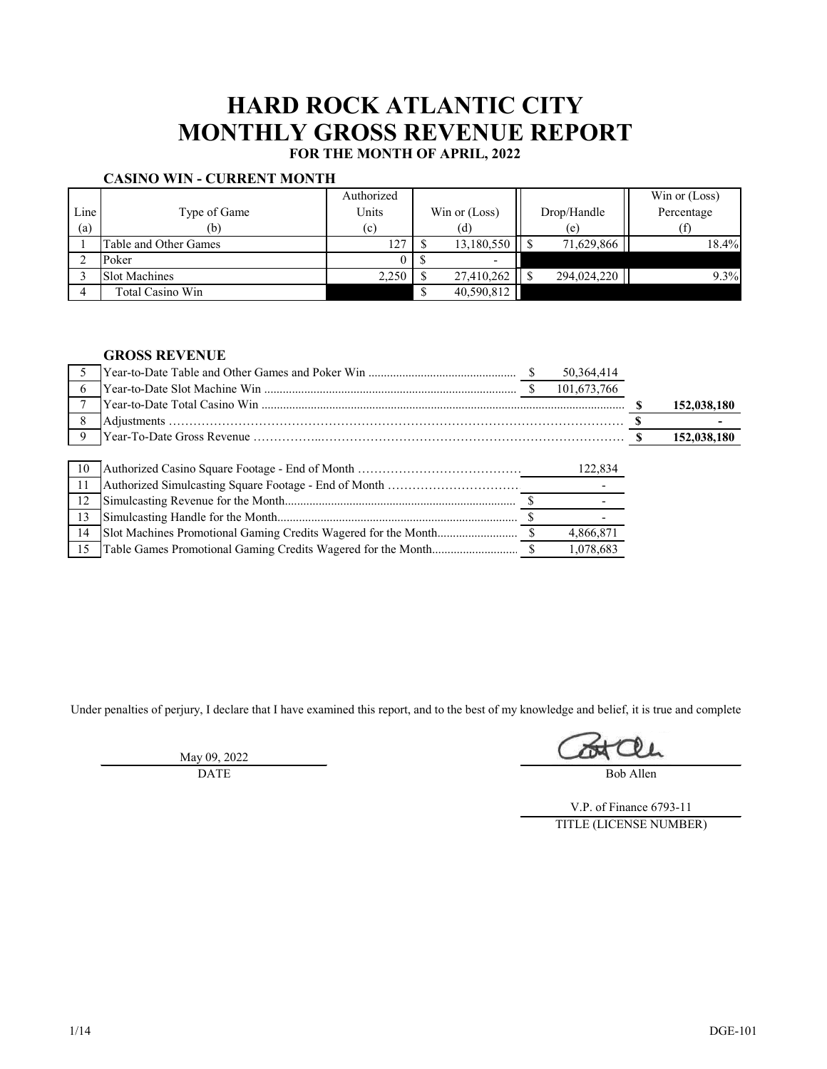# **HARD ROCK ATLANTIC CITY MONTHLY GROSS REVENUE REPORT**

# **FOR THE MONTH OF APRIL, 2022**

# **CASINO WIN - CURRENT MONTH**

|      |                       | Authorized |               |             | Win or $(Loss)$ |
|------|-----------------------|------------|---------------|-------------|-----------------|
| Line | Type of Game          | Units      | Win or (Loss) | Drop/Handle | Percentage      |
| (a)  | (b)                   | (c)        | (d)           | (e)         |                 |
|      | Table and Other Games | 127        | 13,180,550    | 71,629,866  | 18.4%           |
|      | Poker                 |            | $\sim$        |             |                 |
|      | <b>Slot Machines</b>  | 2,250      | 27,410,262    | 294,024,220 | 9.3%            |
|      | Total Casino Win      |            | 40,590,812    |             |                 |

### **GROSS REVENUE**

|     |  | 50,364,414  |             |
|-----|--|-------------|-------------|
| 6   |  | 101,673,766 |             |
|     |  |             | 152,038,180 |
|     |  |             |             |
|     |  |             | 152,038,180 |
|     |  |             |             |
| 10  |  | 122,834     |             |
| -11 |  |             |             |
| 12  |  |             |             |
| 13  |  |             |             |
| 14  |  | 4,866,871   |             |
| 15  |  | 1,078,683   |             |

Under penalties of perjury, I declare that I have examined this report, and to the best of my knowledge and belief, it is true and complete

May 09, 2022 DATE

Bob Allen

V.P. of Finance 6793-11 TITLE (LICENSE NUMBER)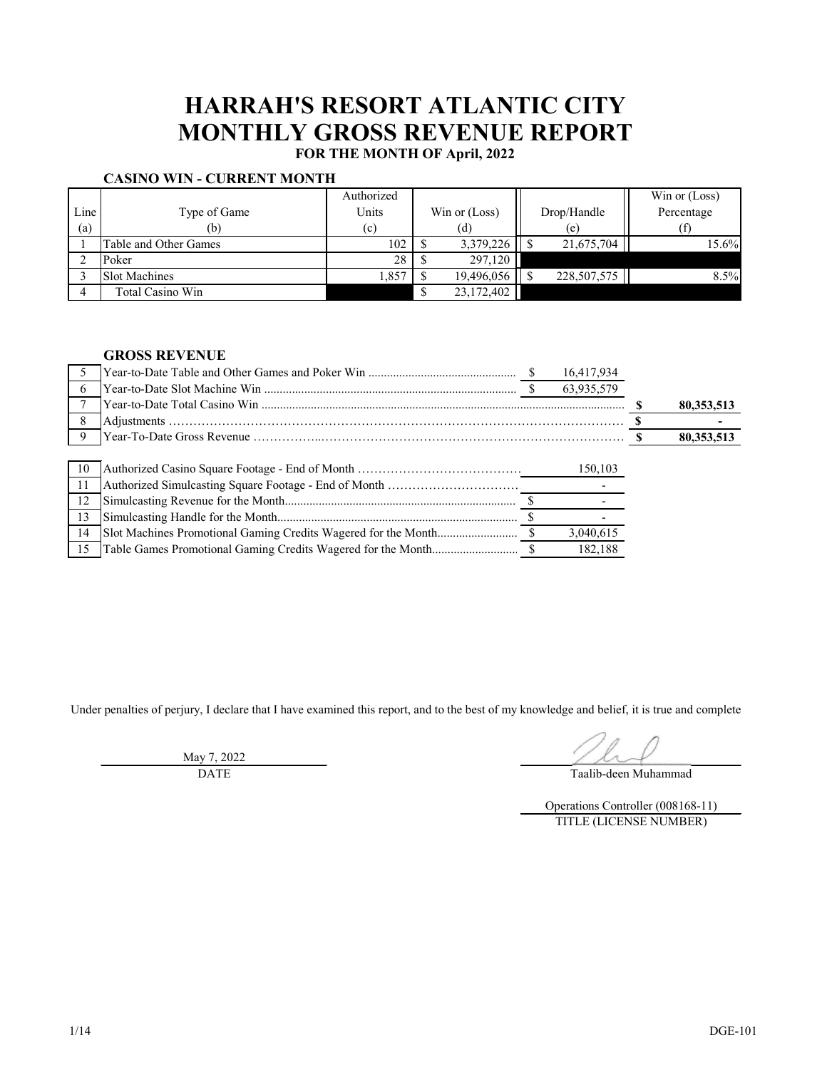# **HARRAH'S RESORT ATLANTIC CITY MONTHLY GROSS REVENUE REPORT**

**FOR THE MONTH OF April, 2022**

|      | VANIH WA WILLE VADINININ LA BINAH LIL |            |               |               |                 |
|------|---------------------------------------|------------|---------------|---------------|-----------------|
|      |                                       | Authorized |               |               | Win or $(Loss)$ |
| Line | Type of Game                          | Units      | Win or (Loss) | Drop/Handle   | Percentage      |
| (a)  | (b)                                   | (c)        | (d)           | (e)           |                 |
|      | Table and Other Games                 | 102        | 3,379,226     | 21,675,704    | 15.6%           |
|      | Poker                                 | 28         | 297,120       |               |                 |
|      | <b>Slot Machines</b>                  | 1,857      | 19,496,056    | 228, 507, 575 | 8.5%            |
|      | Total Casino Win                      |            | 23,172,402    |               |                 |

## **CASINO WIN - CURRENT MONTH**

## **GROSS REVENUE**

|    |  | 16,417,934 |              |
|----|--|------------|--------------|
| 6  |  | 63,935,579 |              |
|    |  |            | 80, 353, 513 |
| 8  |  |            |              |
| 9  |  |            | 80,353,513   |
|    |  |            |              |
| 10 |  | 150,103    |              |
| 11 |  |            |              |
| 12 |  |            |              |
| 13 |  |            |              |
| 14 |  | 3,040,615  |              |
| 15 |  | 182,188    |              |

Under penalties of perjury, I declare that I have examined this report, and to the best of my knowledge and belief, it is true and complete

May 7, 2022 DATE

Taalib-deen Muhammad

Operations Controller (008168-11) TITLE (LICENSE NUMBER)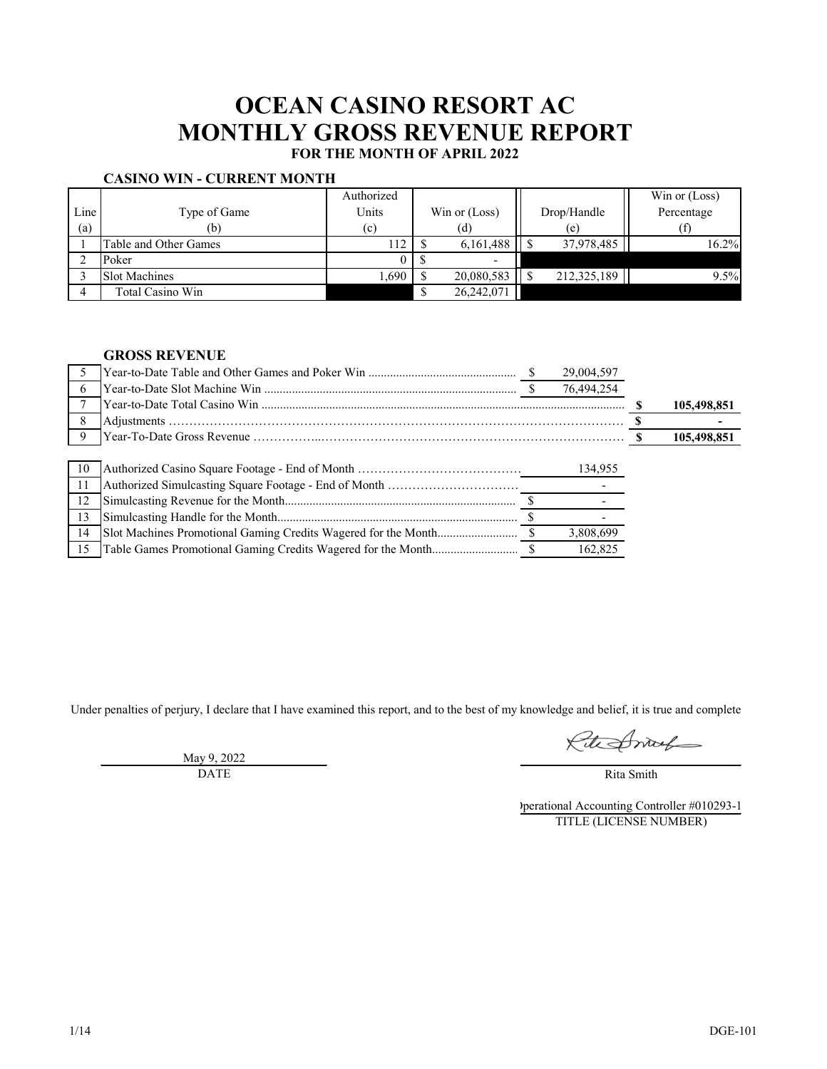# **OCEAN CASINO RESORT AC MONTHLY GROSS REVENUE REPORT FOR THE MONTH OF APRIL 2022**

#### **CASINO WIN - CURRENT MONTH**

|      |                       | Authorized |                          |             | Win or (Loss) |
|------|-----------------------|------------|--------------------------|-------------|---------------|
| Line | Type of Game          | Units      | Win or $(Loss)$          | Drop/Handle | Percentage    |
| (a)  | (b)                   | (c)        | (d)                      | (e)         |               |
|      | Table and Other Games | 112        | 6,161,488                | 37,978,485  | 16.2%         |
|      | Poker                 |            | $\overline{\phantom{0}}$ |             |               |
|      | <b>Slot Machines</b>  | 1,690      | 20,080,583               | 212,325,189 | 9.5%          |
|      | Total Casino Win      |            | 26,242,071               |             |               |

## **GROSS REVENUE**

|     |  | 29,004,597 |             |
|-----|--|------------|-------------|
| 6   |  | 76,494,254 |             |
|     |  |            | 105,498,851 |
|     |  |            |             |
| 9   |  |            | 105,498,851 |
|     |  |            |             |
| 10  |  | 134,955    |             |
| -11 |  |            |             |
| 12  |  |            |             |
| 13  |  |            |             |
| 14  |  | 3,808,699  |             |
| 15  |  | 162,825    |             |

Under penalties of perjury, I declare that I have examined this report, and to the best of my knowledge and belief, it is true and complete

Rite Smith

Rita Smith

Operational Accounting Controller #010293-1 TITLE (LICENSE NUMBER)

May 9, 2022 DATE

1/14 DGE-101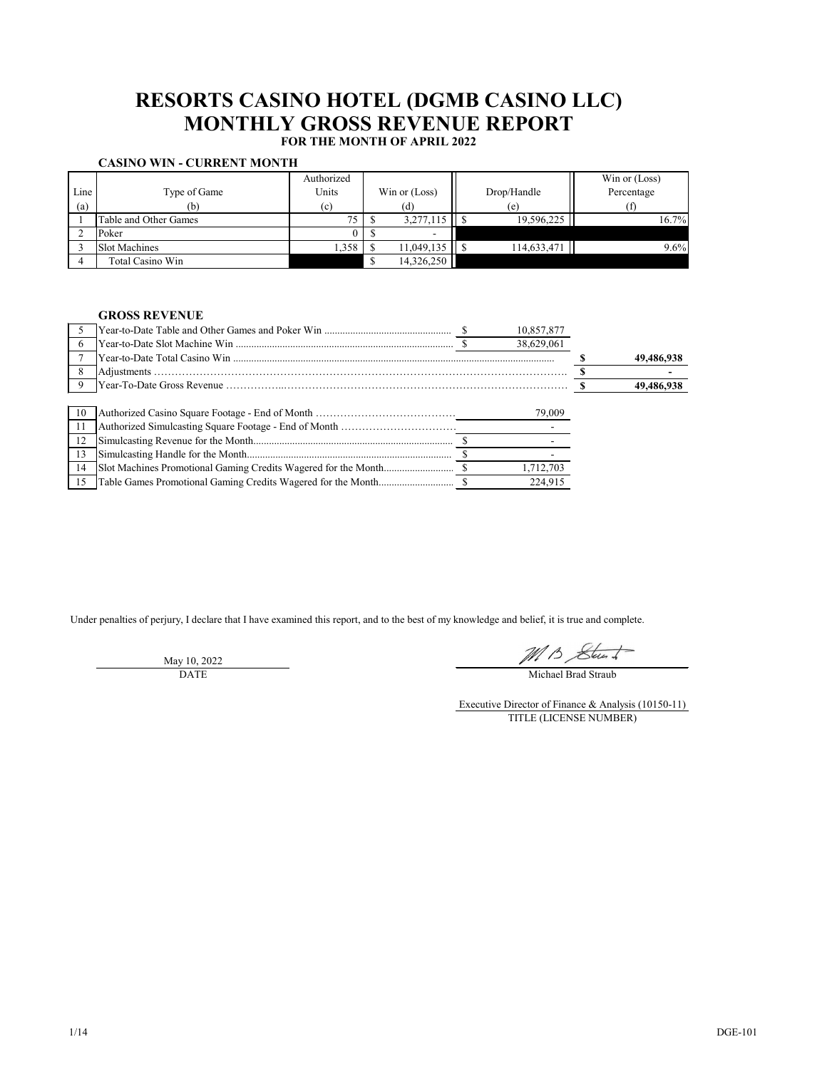#### **CASINO WIN - CURRENT MONTH**

|      |                       | Authorized |                 |             | Win or (Loss) |
|------|-----------------------|------------|-----------------|-------------|---------------|
| Line | Type of Game          | Units      | Win or $(Loss)$ | Drop/Handle | Percentage    |
| (a)  | (b)                   | (c)        | (d)             | (e)         |               |
|      | Table and Other Games | 75         | 3,277,115       | 19,596,225  | 16.7%         |
|      | Poker                 |            |                 |             |               |
|      | <b>Slot Machines</b>  | 1,358      | 11,049,135      | 114,633,471 | 9.6%          |
|      | Total Casino Win      |            | 14,326,250      |             |               |

## **GROSS REVENUE**

Under penalties of perjury, I declare that I have examined this report, and to the best of my knowledge and belief, it is true and complete.

May 10, 2022 DATE

MB Stunt

|    |  | 10,857,877 |            |
|----|--|------------|------------|
| 6  |  | 38,629,061 |            |
|    |  |            | 49,486,938 |
| 8  |  |            |            |
|    |  |            | 49,486,938 |
|    |  |            |            |
| 10 |  | 79,009     |            |
|    |  |            |            |
| 12 |  |            |            |
| 13 |  |            |            |
| 14 |  | 1,712,703  |            |
| 15 |  | 224.915    |            |

Michael Brad Straub

Executive Director of Finance & Analysis (10150-11) TITLE (LICENSE NUMBER)

# **RESORTS CASINO HOTEL (DGMB CASINO LLC) MONTHLY GROSS REVENUE REPORT**

**FOR THE MONTH OF APRIL 2022**